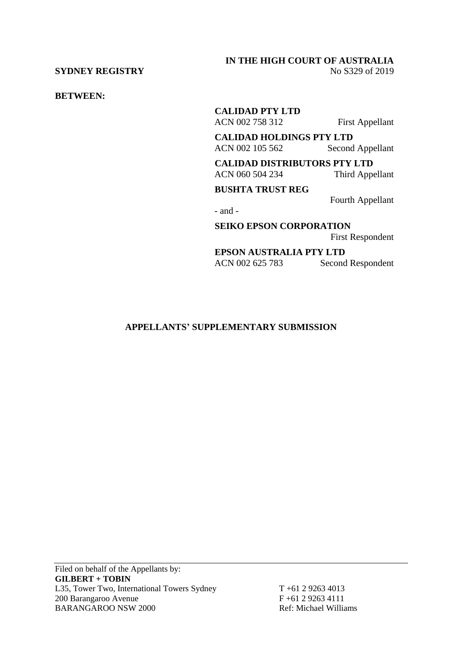### **SYDNEY REGISTRY** No S329 of 2019

# **IN THE HIGH COURT OF AUSTRALIA**

**BETWEEN:**

**CALIDAD PTY LTD** ACN 002 758 312 First Appellant

**CALIDAD HOLDINGS PTY LTD** ACN 002 105 562 Second Appellant

**CALIDAD DISTRIBUTORS PTY LTD** ACN 060 504 234 Third Appellant

**BUSHTA TRUST REG**

Fourth Appellant

- and -

**SEIKO EPSON CORPORATION**

First Respondent

**EPSON AUSTRALIA PTY LTD** ACN 002 625 783 Second Respondent

## **APPELLANTS' SUPPLEMENTARY SUBMISSION**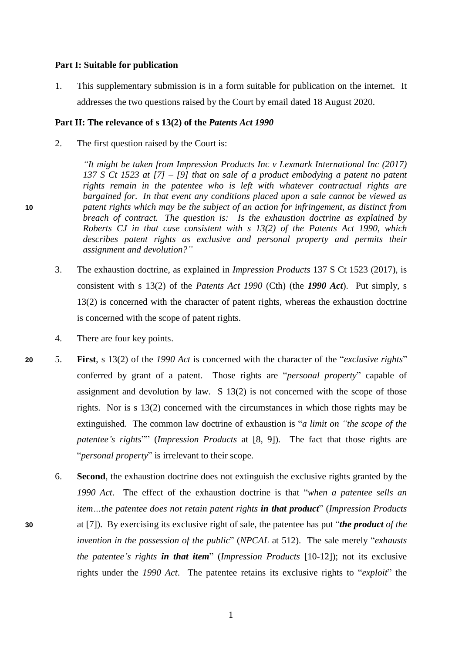#### **Part I: Suitable for publication**

1. This supplementary submission is in a form suitable for publication on the internet. It addresses the two questions raised by the Court by email dated 18 August 2020.

#### **Part II: The relevance of s 13(2) of the** *Patents Act 1990*

2. The first question raised by the Court is:

*"It might be taken from Impression Products Inc v Lexmark International Inc (2017) 137 S Ct 1523 at [7] – [9] that on sale of a product embodying a patent no patent rights remain in the patentee who is left with whatever contractual rights are bargained for. In that event any conditions placed upon a sale cannot be viewed as*  **10** *patent rights which may be the subject of an action for infringement, as distinct from breach of contract. The question is: Is the exhaustion doctrine as explained by Roberts CJ in that case consistent with s 13(2) of the Patents Act 1990, which describes patent rights as exclusive and personal property and permits their assignment and devolution?"*

- 3. The exhaustion doctrine, as explained in *Impression Products* 137 S Ct 1523 (2017), is consistent with s 13(2) of the *Patents Act 1990* (Cth) (the *1990 Act*). Put simply, s 13(2) is concerned with the character of patent rights, whereas the exhaustion doctrine is concerned with the scope of patent rights.
- 4. There are four key points.
- **20** 5. **First**, s 13(2) of the *1990 Act* is concerned with the character of the "*exclusive rights*" conferred by grant of a patent. Those rights are "*personal property*" capable of assignment and devolution by law. S 13(2) is not concerned with the scope of those rights. Nor is s 13(2) concerned with the circumstances in which those rights may be extinguished. The common law doctrine of exhaustion is "*a limit on "the scope of the patentee's rights*"" (*Impression Products* at [8, 9]). The fact that those rights are "*personal property*" is irrelevant to their scope.
- 6. **Second**, the exhaustion doctrine does not extinguish the exclusive rights granted by the *1990 Act*. The effect of the exhaustion doctrine is that "*when a patentee sells an item…the patentee does not retain patent rights in that product*" (*Impression Products* **30** at [7]). By exercising its exclusive right of sale, the patentee has put "*the product of the invention in the possession of the public*" (*NPCAL* at 512). The sale merely "*exhausts the patentee's rights in that item*" (*Impression Products* [10-12]); not its exclusive rights under the *1990 Act*. The patentee retains its exclusive rights to "*exploit*" the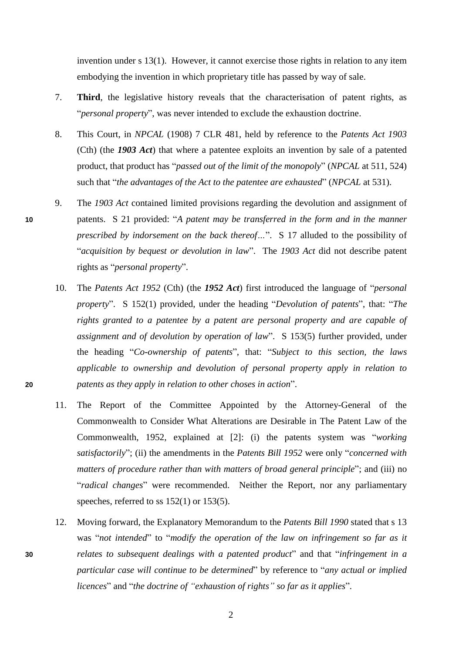invention under s 13(1). However, it cannot exercise those rights in relation to any item embodying the invention in which proprietary title has passed by way of sale.

- 7. **Third**, the legislative history reveals that the characterisation of patent rights, as "*personal property*", was never intended to exclude the exhaustion doctrine.
- 8. This Court, in *NPCAL* (1908) 7 CLR 481, held by reference to the *Patents Act 1903* (Cth) (the *1903 Act*) that where a patentee exploits an invention by sale of a patented product, that product has "*passed out of the limit of the monopoly*" (*NPCAL* at 511, 524) such that "*the advantages of the Act to the patentee are exhausted*" (*NPCAL* at 531).
- 9. The *1903 Act* contained limited provisions regarding the devolution and assignment of **10** patents. S 21 provided: "*A patent may be transferred in the form and in the manner prescribed by indorsement on the back thereof…*". S 17 alluded to the possibility of "*acquisition by bequest or devolution in law*". The *1903 Act* did not describe patent rights as "*personal property*".
- 10. The *Patents Act 1952* (Cth) (the *1952 Act*) first introduced the language of "*personal property*". S 152(1) provided, under the heading "*Devolution of patents*", that: "*The rights granted to a patentee by a patent are personal property and are capable of assignment and of devolution by operation of law*". S 153(5) further provided, under the heading "*Co-ownership of patents*", that: "*Subject to this section, the laws applicable to ownership and devolution of personal property apply in relation to*  **20** *patents as they apply in relation to other choses in action*".
	- 11. The Report of the Committee Appointed by the Attorney-General of the Commonwealth to Consider What Alterations are Desirable in The Patent Law of the Commonwealth, 1952, explained at [2]: (i) the patents system was "*working satisfactorily*"; (ii) the amendments in the *Patents Bill 1952* were only "*concerned with matters of procedure rather than with matters of broad general principle*"; and (iii) no "*radical changes*" were recommended. Neither the Report, nor any parliamentary speeches, referred to ss 152(1) or 153(5).
- 12. Moving forward, the Explanatory Memorandum to the *Patents Bill 1990* stated that s 13 was "*not intended*" to "*modify the operation of the law on infringement so far as it* **30** *relates to subsequent dealings with a patented product*" and that "*infringement in a particular case will continue to be determined*" by reference to "*any actual or implied licences*" and "*the doctrine of "exhaustion of rights" so far as it applies*".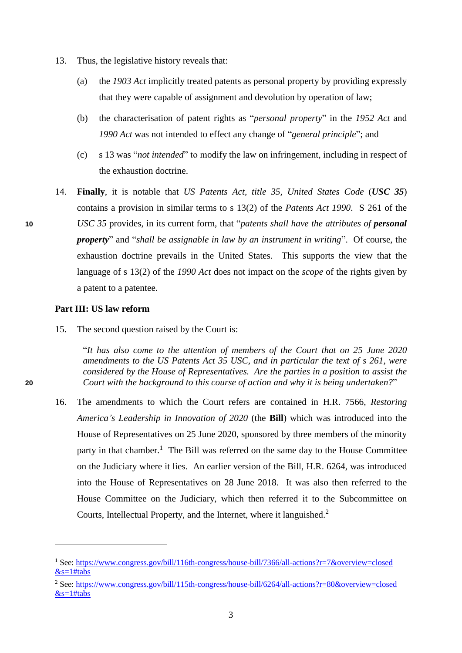- 13. Thus, the legislative history reveals that:
	- (a) the *1903 Act* implicitly treated patents as personal property by providing expressly that they were capable of assignment and devolution by operation of law;
	- (b) the characterisation of patent rights as "*personal property*" in the *1952 Act* and *1990 Act* was not intended to effect any change of "*general principle*"; and
	- (c) s 13 was "*not intended*" to modify the law on infringement, including in respect of the exhaustion doctrine.
- 14. **Finally**, it is notable that *US Patents Act, title 35, United States Code* (*USC 35*) contains a provision in similar terms to s 13(2) of the *Patents Act 1990*. S 261 of the **10** *USC 35* provides, in its current form, that "*patents shall have the attributes of personal property*" and "*shall be assignable in law by an instrument in writing*". Of course, the exhaustion doctrine prevails in the United States. This supports the view that the language of s 13(2) of the *1990 Act* does not impact on the *scope* of the rights given by a patent to a patentee.

#### **Part III: US law reform**

15. The second question raised by the Court is:

"*It has also come to the attention of members of the Court that on 25 June 2020 amendments to the US Patents Act 35 USC, and in particular the text of s 261, were considered by the House of Representatives. Are the parties in a position to assist the*  **20** *Court with the background to this course of action and why it is being undertaken?*"

16. The amendments to which the Court refers are contained in H.R. 7566, *Restoring America's Leadership in Innovation of 2020* (the **Bill**) which was introduced into the House of Representatives on 25 June 2020, sponsored by three members of the minority party in that chamber.<sup>1</sup> The Bill was referred on the same day to the House Committee on the Judiciary where it lies. An earlier version of the Bill, H.R. 6264, was introduced into the House of Representatives on 28 June 2018. It was also then referred to the House Committee on the Judiciary, which then referred it to the Subcommittee on Courts, Intellectual Property, and the Internet, where it languished.<sup>2</sup>

 $\overline{a}$ 

<sup>1</sup> See[: https://www.congress.gov/bill/116th-congress/house-bill/7366/all-actions?r=7&overview=closed](https://www.congress.gov/bill/116th-congress/house-bill/7366/all-actions?r=7&overview=closed%20&s=1#tabs)  $&s=1#tabs$ 

<sup>2</sup> See[: https://www.congress.gov/bill/115th-congress/house-bill/6264/all-actions?r=80&overview=closed](https://www.congress.gov/bill/115th-congress/house-bill/6264/all-actions?r=80&overview=closed%20&s=1#tabs)  $&$ s=1#tabs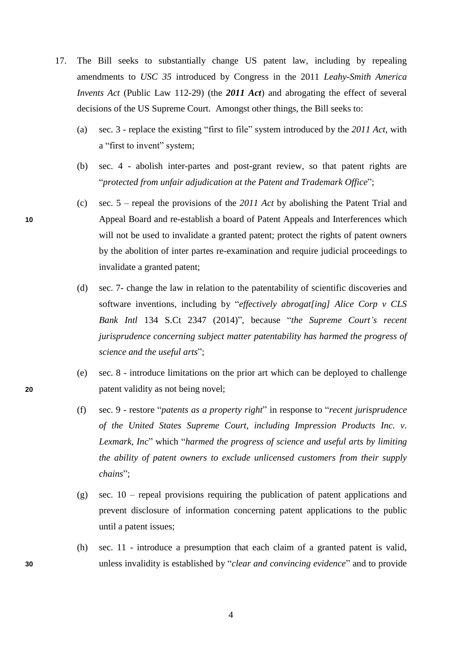- 17. The Bill seeks to substantially change US patent law, including by repealing amendments to *USC 35* introduced by Congress in the 2011 *Leahy-Smith America Invents Act* (Public Law 112-29) (the **2011 Act**) and abrogating the effect of several decisions of the US Supreme Court. Amongst other things, the Bill seeks to:
	- (a) sec. 3 replace the existing "first to file" system introduced by the *2011 Act*, with a "first to invent" system;
	- (b) sec. 4 abolish inter-partes and post-grant review, so that patent rights are "*protected from unfair adjudication at the Patent and Trademark Office*";
- (c) sec. 5 repeal the provisions of the *2011 Act* by abolishing the Patent Trial and **10** Appeal Board and re-establish a board of Patent Appeals and Interferences which will not be used to invalidate a granted patent; protect the rights of patent owners by the abolition of inter partes re-examination and require judicial proceedings to invalidate a granted patent;
	- (d) sec. 7- change the law in relation to the patentability of scientific discoveries and software inventions, including by "*effectively abrogat[ing] Alice Corp v CLS Bank Intl* 134 S.Ct 2347 (2014)", because "*the Supreme Court's recent jurisprudence concerning subject matter patentability has harmed the progress of science and the useful arts*";
- (e) sec. 8 introduce limitations on the prior art which can be deployed to challenge **20** patent validity as not being novel;
	- (f) sec. 9 restore "*patents as a property right*" in response to "*recent jurisprudence of the United States Supreme Court, including Impression Products Inc. v. Lexmark, Inc*" which "*harmed the progress of science and useful arts by limiting the ability of patent owners to exclude unlicensed customers from their supply chains*";
	- (g) sec. 10 repeal provisions requiring the publication of patent applications and prevent disclosure of information concerning patent applications to the public until a patent issues;
- (h) sec. 11 introduce a presumption that each claim of a granted patent is valid, **30** unless invalidity is established by "*clear and convincing evidence*" and to provide